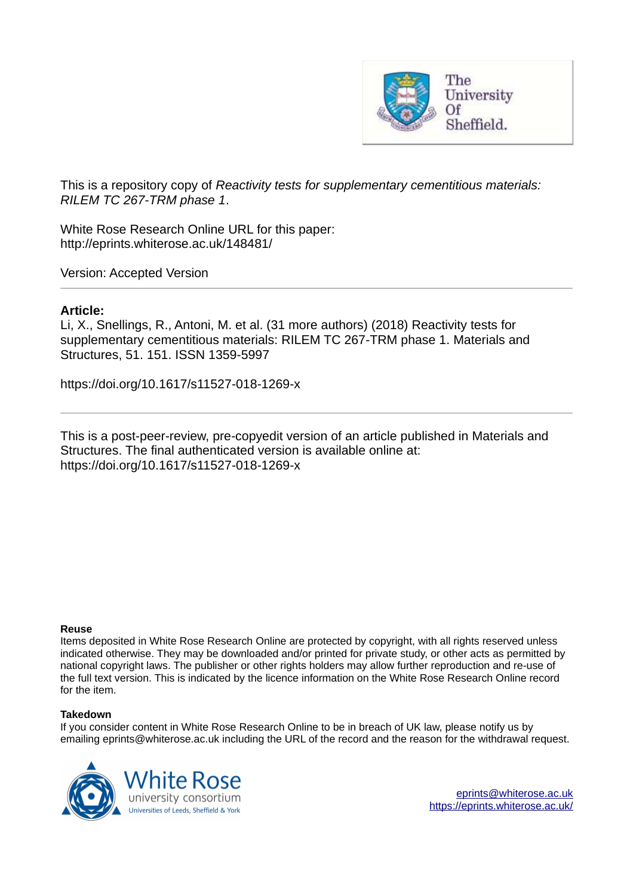

This is a repository copy of *Reactivity tests for supplementary cementitious materials: RILEM TC 267-TRM phase 1*.

White Rose Research Online URL for this paper: http://eprints.whiterose.ac.uk/148481/

Version: Accepted Version

# **Article:**

Li, X., Snellings, R., Antoni, M. et al. (31 more authors) (2018) Reactivity tests for supplementary cementitious materials: RILEM TC 267-TRM phase 1. Materials and Structures, 51. 151. ISSN 1359-5997

https://doi.org/10.1617/s11527-018-1269-x

This is a post-peer-review, pre-copyedit version of an article published in Materials and Structures. The final authenticated version is available online at: https://doi.org/10.1617/s11527-018-1269-x

#### **Reuse**

Items deposited in White Rose Research Online are protected by copyright, with all rights reserved unless indicated otherwise. They may be downloaded and/or printed for private study, or other acts as permitted by national copyright laws. The publisher or other rights holders may allow further reproduction and re-use of the full text version. This is indicated by the licence information on the White Rose Research Online record for the item.

#### **Takedown**

If you consider content in White Rose Research Online to be in breach of UK law, please notify us by emailing eprints@whiterose.ac.uk including the URL of the record and the reason for the withdrawal request.



[eprints@whiterose.ac.uk](mailto:eprints@whiterose.ac.uk) <https://eprints.whiterose.ac.uk/>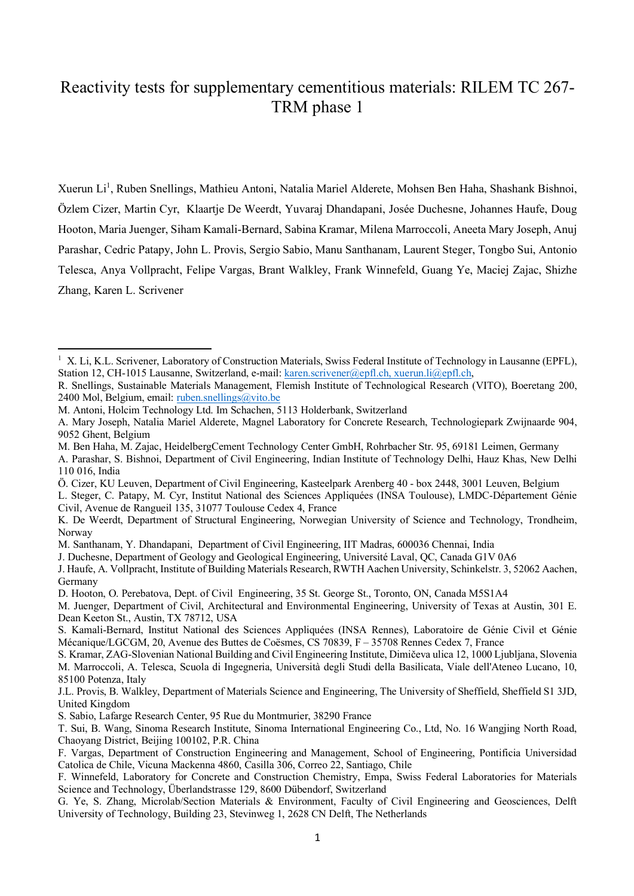# Reactivity tests for supplementary cementitious materials: RILEM TC 267- TRM phase 1

Xuerun Li<sup>1</sup>, Ruben Snellings, Mathieu Antoni, Natalia Mariel Alderete, Mohsen Ben Haha, Shashank Bishnoi, Özlem Cizer, Martin Cyr, Klaartje De Weerdt, Yuvaraj Dhandapani, Josée Duchesne, Johannes Haufe, Doug Hooton, Maria Juenger, Siham Kamali-Bernard, Sabina Kramar, Milena Marroccoli, Aneeta Mary Joseph, Anuj Parashar, Cedric Patapy, John L. Provis, Sergio Sabio, Manu Santhanam, Laurent Steger, Tongbo Sui, Antonio Telesca, Anya Vollpracht, Felipe Vargas, Brant Walkley, Frank Winnefeld, Guang Ye, Maciej Zajac, Shizhe Zhang, Karen L. Scrivener

l

- M. Ben Haha, M. Zajac, HeidelbergCement Technology Center GmbH, Rohrbacher Str. 95, 69181 Leimen, Germany
- A. Parashar, S. Bishnoi, Department of Civil Engineering, Indian Institute of Technology Delhi, Hauz Khas, New Delhi 110 016, India
- Ö. Cizer, KU Leuven, Department of Civil Engineering, Kasteelpark Arenberg 40 box 2448, 3001 Leuven, Belgium
- L. Steger, C. Patapy, M. Cyr, Institut National des Sciences Appliquées (INSA Toulouse), LMDC-Département Génie Civil, Avenue de Rangueil 135, 31077 Toulouse Cedex 4, France

M. Santhanam, Y. Dhandapani, Department of Civil Engineering, IIT Madras, 600036 Chennai, India

<sup>&</sup>lt;sup>1</sup> X. Li, K.L. Scrivener, Laboratory of Construction Materials, Swiss Federal Institute of Technology in Lausanne (EPFL), Station 12, CH-1015 Lausanne, Switzerland, e-mail: karen.scrivener@epfl.ch, xuerun.li@epfl.ch,

R. Snellings, Sustainable Materials Management, Flemish Institute of Technological Research (VITO), Boeretang 200, 2400 Mol, Belgium, email: ruben.snellings@vito.be

M. Antoni, Holcim Technology Ltd. Im Schachen, 5113 Holderbank, Switzerland

A. Mary Joseph, Natalia Mariel Alderete, Magnel Laboratory for Concrete Research, Technologiepark Zwijnaarde 904, 9052 Ghent, Belgium

K. De Weerdt, Department of Structural Engineering, Norwegian University of Science and Technology, Trondheim, Norway

J. Duchesne, Department of Geology and Geological Engineering, Université Laval, QC, Canada G1V 0A6

J. Haufe, A. Vollpracht, Institute of Building Materials Research, RWTH Aachen University, Schinkelstr. 3, 52062 Aachen, Germany

D. Hooton, O. Perebatova, Dept. of Civil Engineering, 35 St. George St., Toronto, ON, Canada M5S1A4

M. Juenger, Department of Civil, Architectural and Environmental Engineering, University of Texas at Austin, 301 E. Dean Keeton St., Austin, TX 78712, USA

S. Kamali-Bernard, Institut National des Sciences Appliquées (INSA Rennes), Laboratoire de Génie Civil et Génie Mécanique/LGCGM, 20, Avenue des Buttes de Coësmes, CS 70839, F – 35708 Rennes Cedex 7, France

S. Kramar, ZAG-Slovenian National Building and Civil Engineering Institute, Dimičeva ulica 12, 1000 Ljubljana, Slovenia M. Marroccoli, A. Telesca, Scuola di Ingegneria, Università degli Studi della Basilicata, Viale dell'Ateneo Lucano, 10, 85100 Potenza, Italy

J.L. Provis, B. Walkley, Department of Materials Science and Engineering, The University of Sheffield, Sheffield S1 3JD, United Kingdom

S. Sabio, Lafarge Research Center, 95 Rue du Montmurier, 38290 France

T. Sui, B. Wang, Sinoma Research Institute, Sinoma International Engineering Co., Ltd, No. 16 Wangjing North Road, Chaoyang District, Beijing 100102, P.R. China

F. Vargas, Department of Construction Engineering and Management, School of Engineering, Pontificia Universidad Catolica de Chile, Vicuna Mackenna 4860, Casilla 306, Correo 22, Santiago, Chile

F. Winnefeld, Laboratory for Concrete and Construction Chemistry, Empa, Swiss Federal Laboratories for Materials Science and Technology, Überlandstrasse 129, 8600 Dübendorf, Switzerland

G. Ye, S. Zhang, Microlab/Section Materials & Environment, Faculty of Civil Engineering and Geosciences, Delft University of Technology, Building 23, Stevinweg 1, 2628 CN Delft, The Netherlands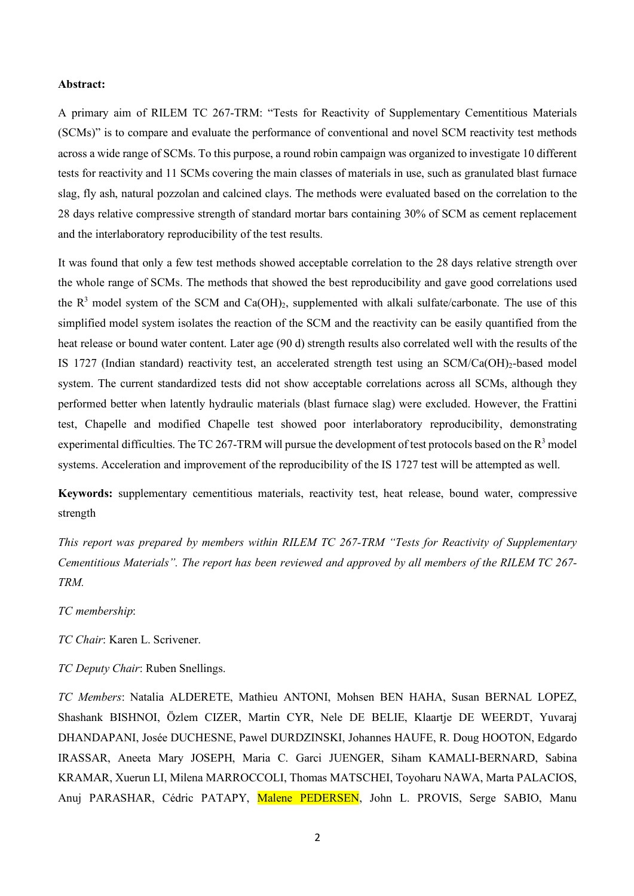#### **Abstract:**

A primary aim of RILEM TC 267-TRM: "Tests for Reactivity of Supplementary Cementitious Materials (SCMs)" is to compare and evaluate the performance of conventional and novel SCM reactivity test methods across a wide range of SCMs. To this purpose, a round robin campaign was organized to investigate 10 different tests for reactivity and 11 SCMs covering the main classes of materials in use, such as granulated blast furnace slag, fly ash, natural pozzolan and calcined clays. The methods were evaluated based on the correlation to the 28 days relative compressive strength of standard mortar bars containing 30% of SCM as cement replacement and the interlaboratory reproducibility of the test results.

It was found that only a few test methods showed acceptable correlation to the 28 days relative strength over the whole range of SCMs. The methods that showed the best reproducibility and gave good correlations used the  $R^3$  model system of the SCM and Ca(OH)<sub>2</sub>, supplemented with alkali sulfate/carbonate. The use of this simplified model system isolates the reaction of the SCM and the reactivity can be easily quantified from the heat release or bound water content. Later age (90 d) strength results also correlated well with the results of the IS 1727 (Indian standard) reactivity test, an accelerated strength test using an  $SCM/Ca(OH)<sub>2</sub>$ -based model system. The current standardized tests did not show acceptable correlations across all SCMs, although they performed better when latently hydraulic materials (blast furnace slag) were excluded. However, the Frattini test, Chapelle and modified Chapelle test showed poor interlaboratory reproducibility, demonstrating experimental difficulties. The TC 267-TRM will pursue the development of test protocols based on the  $R<sup>3</sup>$  model systems. Acceleration and improvement of the reproducibility of the IS 1727 test will be attempted as well.

**Keywords:** supplementary cementitious materials, reactivity test, heat release, bound water, compressive strength

*This report was prepared by members within RILEM TC 267-TRM "Tests for Reactivity of Supplementary Cementitious Materials". The report has been reviewed and approved by all members of the RILEM TC 267- TRM.*

#### *TC membership*:

*TC Chair*: Karen L. Scrivener.

## *TC Deputy Chair*: Ruben Snellings.

*TC Members*: Natalia ALDERETE, Mathieu ANTONI, Mohsen BEN HAHA, Susan BERNAL LOPEZ, Shashank BISHNOI, Özlem CIZER, Martin CYR, Nele DE BELIE, Klaartje DE WEERDT, Yuvaraj DHANDAPANI, Josée DUCHESNE, Pawel DURDZINSKI, Johannes HAUFE, R. Doug HOOTON, Edgardo IRASSAR, Aneeta Mary JOSEPH, Maria C. Garci JUENGER, Siham KAMALI-BERNARD, Sabina KRAMAR, Xuerun LI, Milena MARROCCOLI, Thomas MATSCHEI, Toyoharu NAWA, Marta PALACIOS, Anuj PARASHAR, Cédric PATAPY, Malene PEDERSEN, John L. PROVIS, Serge SABIO, Manu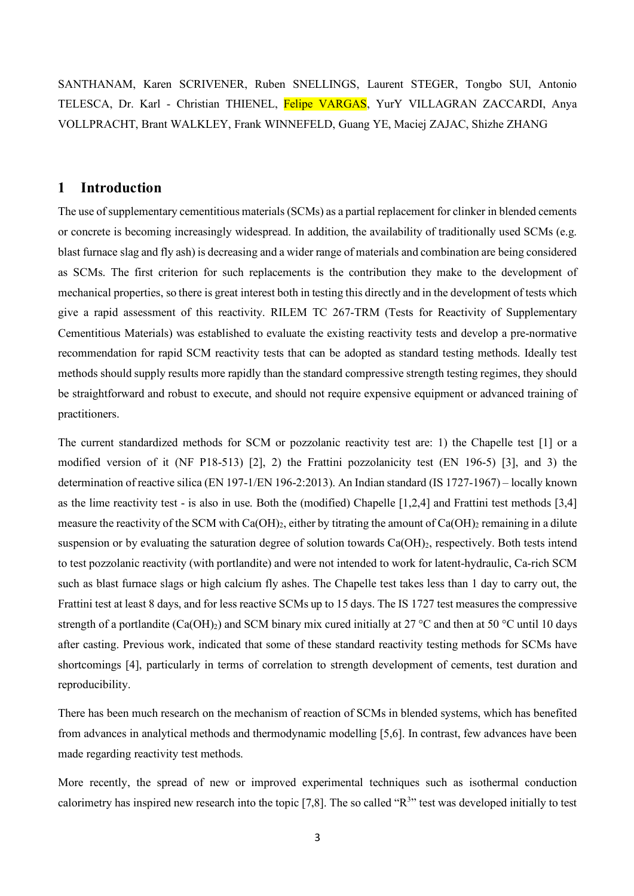SANTHANAM, Karen SCRIVENER, Ruben SNELLINGS, Laurent STEGER, Tongbo SUI, Antonio TELESCA, Dr. Karl - Christian THIENEL, Felipe VARGAS, YurY VILLAGRAN ZACCARDI, Anya VOLLPRACHT, Brant WALKLEY, Frank WINNEFELD, Guang YE, Maciej ZAJAC, Shizhe ZHANG

# **1 Introduction**

The use of supplementary cementitious materials (SCMs) as a partial replacement for clinker in blended cements or concrete is becoming increasingly widespread. In addition, the availability of traditionally used SCMs (e.g. blast furnace slag and fly ash) is decreasing and a wider range of materials and combination are being considered as SCMs. The first criterion for such replacements is the contribution they make to the development of mechanical properties, so there is great interest both in testing this directly and in the development of tests which give a rapid assessment of this reactivity. RILEM TC 267-TRM (Tests for Reactivity of Supplementary Cementitious Materials) was established to evaluate the existing reactivity tests and develop a pre-normative recommendation for rapid SCM reactivity tests that can be adopted as standard testing methods. Ideally test methods should supply results more rapidly than the standard compressive strength testing regimes, they should be straightforward and robust to execute, and should not require expensive equipment or advanced training of practitioners.

The current standardized methods for SCM or pozzolanic reactivity test are: 1) the Chapelle test [1] or a modified version of it (NF P18-513) [2], 2) the Frattini pozzolanicity test (EN 196-5) [3], and 3) the determination of reactive silica (EN 197-1/EN 196-2:2013). An Indian standard (IS 1727-1967) – locally known as the lime reactivity test - is also in use. Both the (modified) Chapelle [1,2,4] and Frattini test methods [3,4] measure the reactivity of the SCM with Ca(OH)<sub>2</sub>, either by titrating the amount of Ca(OH)<sub>2</sub> remaining in a dilute suspension or by evaluating the saturation degree of solution towards  $Ca(OH)_2$ , respectively. Both tests intend to test pozzolanic reactivity (with portlandite) and were not intended to work for latent-hydraulic, Ca-rich SCM such as blast furnace slags or high calcium fly ashes. The Chapelle test takes less than 1 day to carry out, the Frattini test at least 8 days, and for less reactive SCMs up to 15 days. The IS 1727 test measures the compressive strength of a portlandite (Ca(OH)<sub>2</sub>) and SCM binary mix cured initially at 27 °C and then at 50 °C until 10 days after casting. Previous work, indicated that some of these standard reactivity testing methods for SCMs have shortcomings [4], particularly in terms of correlation to strength development of cements, test duration and reproducibility.

There has been much research on the mechanism of reaction of SCMs in blended systems, which has benefited from advances in analytical methods and thermodynamic modelling [5,6]. In contrast, few advances have been made regarding reactivity test methods.

More recently, the spread of new or improved experimental techniques such as isothermal conduction calorimetry has inspired new research into the topic [7,8]. The so called " $R<sup>3</sup>$ " test was developed initially to test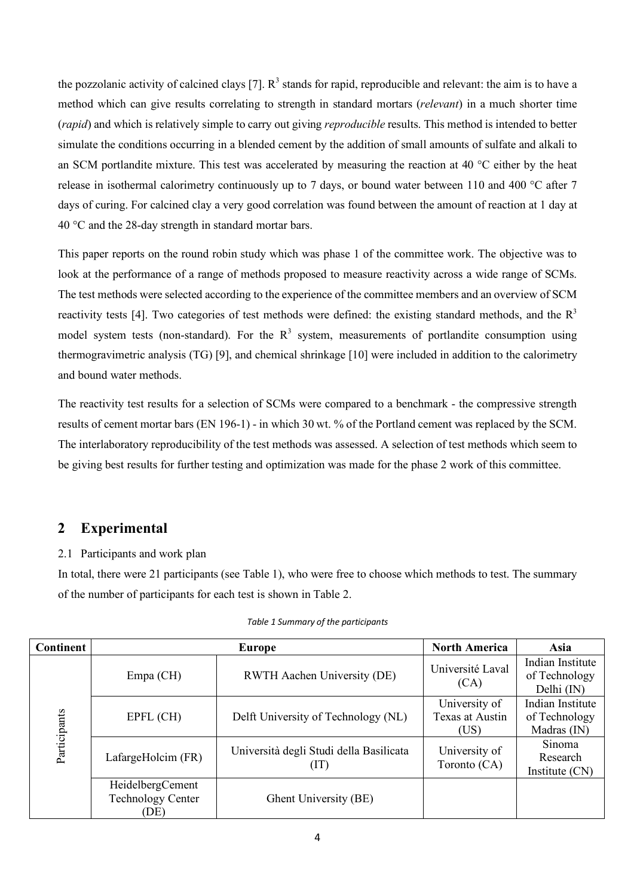the pozzolanic activity of calcined clays [7].  $R^3$  stands for rapid, reproducible and relevant: the aim is to have a method which can give results correlating to strength in standard mortars (*relevant*) in a much shorter time (*rapid*) and which is relatively simple to carry out giving *reproducible* results. This method is intended to better simulate the conditions occurring in a blended cement by the addition of small amounts of sulfate and alkali to an SCM portlandite mixture. This test was accelerated by measuring the reaction at 40 °C either by the heat release in isothermal calorimetry continuously up to 7 days, or bound water between 110 and 400 °C after 7 days of curing. For calcined clay a very good correlation was found between the amount of reaction at 1 day at 40 °C and the 28-day strength in standard mortar bars.

This paper reports on the round robin study which was phase 1 of the committee work. The objective was to look at the performance of a range of methods proposed to measure reactivity across a wide range of SCMs. The test methods were selected according to the experience of the committee members and an overview of SCM reactivity tests [4]. Two categories of test methods were defined: the existing standard methods, and the  $R<sup>3</sup>$ model system tests (non-standard). For the  $R<sup>3</sup>$  system, measurements of portlandite consumption using thermogravimetric analysis (TG) [9], and chemical shrinkage [10] were included in addition to the calorimetry and bound water methods.

The reactivity test results for a selection of SCMs were compared to a benchmark - the compressive strength results of cement mortar bars (EN 196-1) - in which 30 wt. % of the Portland cement was replaced by the SCM. The interlaboratory reproducibility of the test methods was assessed. A selection of test methods which seem to be giving best results for further testing and optimization was made for the phase 2 work of this committee.

# **2 Experimental**

# 2.1 Participants and work plan

In total, there were 21 participants (see Table 1), who were free to choose which methods to test. The summary of the number of participants for each test is shown in Table 2.

| <b>Continent</b> |                                                      | Europe                                          | <b>North America</b>                     | Asia                                               |
|------------------|------------------------------------------------------|-------------------------------------------------|------------------------------------------|----------------------------------------------------|
| Participants     | $Empa$ (CH)                                          | RWTH Aachen University (DE)                     | Université Laval<br>(CA)                 | Indian Institute<br>of Technology<br>Delhi (IN)    |
|                  | EPFL (CH)                                            | Delft University of Technology (NL)             | University of<br>Texas at Austin<br>(US) | Indian Institute<br>of Technology<br>Madras $(IN)$ |
|                  | LafargeHolcim (FR)                                   | Università degli Studi della Basilicata<br>(TI) | University of<br>Toronto (CA)            | <b>Sinoma</b><br>Research<br>Institute (CN)        |
|                  | HeidelbergCement<br><b>Technology Center</b><br>(DE) | Ghent University (BE)                           |                                          |                                                    |

### *Table 1 Summary of the participants*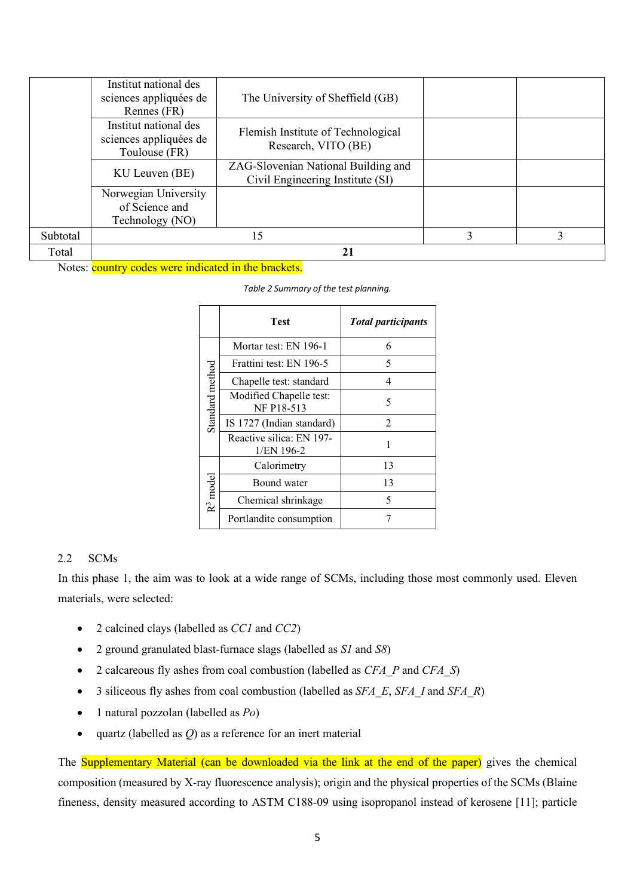|          | Institut national des<br>sciences appliquées de<br>Rennes (FR)   | The University of Sheffield (GB)                                        |  |
|----------|------------------------------------------------------------------|-------------------------------------------------------------------------|--|
|          | Institut national des<br>sciences appliquées de<br>Toulouse (FR) | Flemish Institute of Technological<br>Research, VITO (BE)               |  |
|          | KU Leuven (BE)                                                   | ZAG-Slovenian National Building and<br>Civil Engineering Institute (SI) |  |
|          | Norwegian University<br>of Science and<br>Technology (NO)        |                                                                         |  |
| Subtotal |                                                                  | 15                                                                      |  |
| Total    |                                                                  | 21                                                                      |  |

Notes: country codes were indicated in the brackets.

|                      | Test                                     | <b>Total participants</b> |  |  |
|----------------------|------------------------------------------|---------------------------|--|--|
|                      | Mortar test: EN 196-1                    | 6                         |  |  |
|                      | Frattini test: EN 196-5                  | 5                         |  |  |
|                      | Chapelle test: standard                  | 4                         |  |  |
| Standard method      | Modified Chapelle test:<br>NF P18-513    | 5                         |  |  |
|                      | IS 1727 (Indian standard)                | 2                         |  |  |
|                      | Reactive silica: EN 197-<br>$1/EN$ 196-2 | 1                         |  |  |
|                      | Calorimetry                              | 13                        |  |  |
|                      | Bound water                              | 13                        |  |  |
| R <sup>3</sup> model | Chemical shrinkage                       | 5                         |  |  |
|                      | Portlandite consumption                  |                           |  |  |

|  |  | Table 2 Summary of the test planning. |  |  |  |  |
|--|--|---------------------------------------|--|--|--|--|
|--|--|---------------------------------------|--|--|--|--|

#### 2.2 SCMs

In this phase 1, the aim was to look at a wide range of SCMs, including those most commonly used. Eleven materials, were selected:

- 2 calcined clays (labelled as *CC1* and *CC2*)
- 2 ground granulated blast-furnace slags (labelled as *S1* and *S8*)
- 2 calcareous fly ashes from coal combustion (labelled as *CFA\_P* and *CFA\_S*)
- 3 siliceous fly ashes from coal combustion (labelled as *SFA\_E*, *SFA\_I* and *SFA\_R*)
- 1 natural pozzolan (labelled as *Po*)
- quartz (labelled as *Q*) as a reference for an inert material

The **Supplementary Material (can be downloaded via the link at the end of the paper)** gives the chemical composition (measured by X-ray fluorescence analysis); origin and the physical properties of the SCMs (Blaine fineness, density measured according to ASTM C188-09 using isopropanol instead of kerosene [11]; particle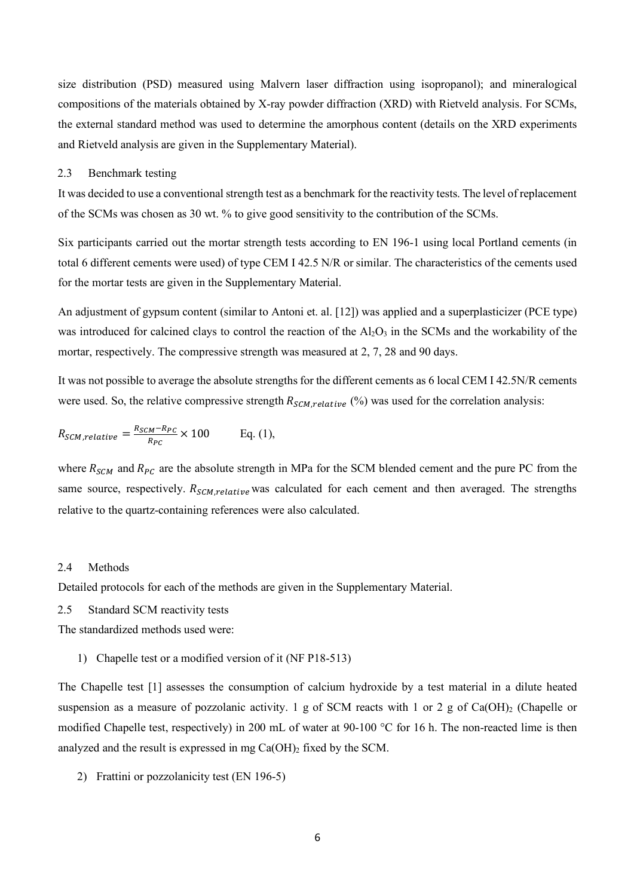size distribution (PSD) measured using Malvern laser diffraction using isopropanol); and mineralogical compositions of the materials obtained by X-ray powder diffraction (XRD) with Rietveld analysis. For SCMs, the external standard method was used to determine the amorphous content (details on the XRD experiments and Rietveld analysis are given in the Supplementary Material).

#### 2.3 Benchmark testing

It was decided to use a conventional strength test as a benchmark for the reactivity tests. The level of replacement of the SCMs was chosen as 30 wt. % to give good sensitivity to the contribution of the SCMs.

Six participants carried out the mortar strength tests according to EN 196-1 using local Portland cements (in total 6 different cements were used) of type CEM I 42.5 N/R or similar. The characteristics of the cements used for the mortar tests are given in the Supplementary Material.

An adjustment of gypsum content (similar to Antoni et. al. [12]) was applied and a superplasticizer (PCE type) was introduced for calcined clays to control the reaction of the  $A_2O_3$  in the SCMs and the workability of the mortar, respectively. The compressive strength was measured at 2, 7, 28 and 90 days.

It was not possible to average the absolute strengths for the different cements as 6 local CEM I 42.5N/R cements were used. So, the relative compressive strength  $R_{SCM, relative}$  (%) was used for the correlation analysis:

$$
R_{SCM, relative} = \frac{R_{SCM} - R_{PC}}{R_{PC}} \times 100
$$
 Eq. (1),

where  $R_{SCM}$  and  $R_{PC}$  are the absolute strength in MPa for the SCM blended cement and the pure PC from the same source, respectively.  $R_{SCM, relative}$  was calculated for each cement and then averaged. The strengths relative to the quartz-containing references were also calculated.

#### 2.4 Methods

Detailed protocols for each of the methods are given in the Supplementary Material.

2.5 Standard SCM reactivity tests

The standardized methods used were:

1) Chapelle test or a modified version of it (NF P18-513)

The Chapelle test [1] assesses the consumption of calcium hydroxide by a test material in a dilute heated suspension as a measure of pozzolanic activity. 1 g of SCM reacts with 1 or 2 g of Ca(OH)<sub>2</sub> (Chapelle or modified Chapelle test, respectively) in 200 mL of water at 90-100 °C for 16 h. The non-reacted lime is then analyzed and the result is expressed in mg  $Ca(OH)_2$  fixed by the SCM.

2) Frattini or pozzolanicity test (EN 196-5)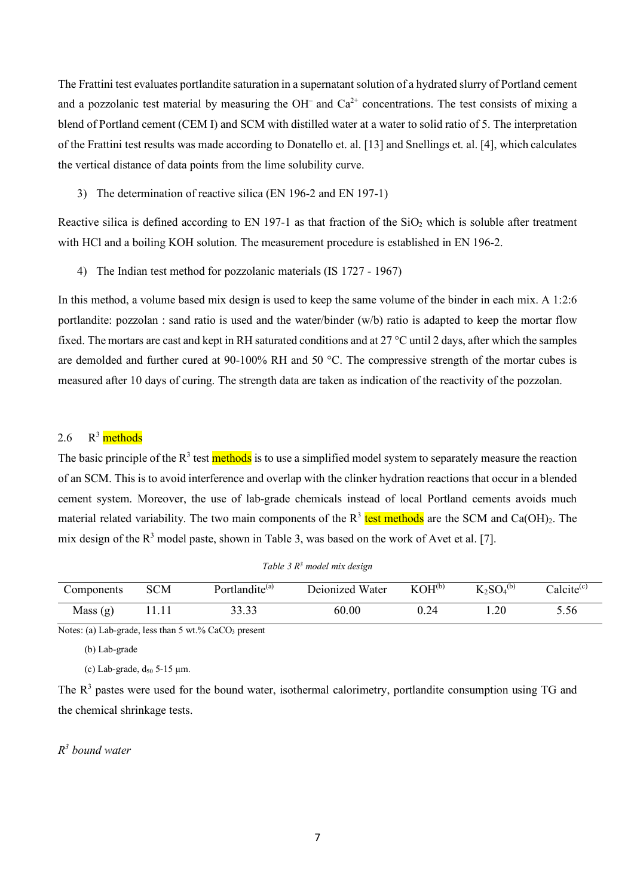The Frattini test evaluates portlandite saturation in a supernatant solution of a hydrated slurry of Portland cement and a pozzolanic test material by measuring the OH<sup>-</sup> and  $Ca^{2+}$  concentrations. The test consists of mixing a blend of Portland cement (CEM I) and SCM with distilled water at a water to solid ratio of 5. The interpretation of the Frattini test results was made according to Donatello et. al. [13] and Snellings et. al. [4], which calculates the vertical distance of data points from the lime solubility curve.

3) The determination of reactive silica (EN 196-2 and EN 197-1)

Reactive silica is defined according to EN 197-1 as that fraction of the  $SiO<sub>2</sub>$  which is soluble after treatment with HCl and a boiling KOH solution. The measurement procedure is established in EN 196-2.

4) The Indian test method for pozzolanic materials (IS 1727 - 1967)

In this method, a volume based mix design is used to keep the same volume of the binder in each mix. A 1:2:6 portlandite: pozzolan : sand ratio is used and the water/binder (w/b) ratio is adapted to keep the mortar flow fixed. The mortars are cast and kept in RH saturated conditions and at 27 °C until 2 days, after which the samples are demolded and further cured at 90-100% RH and 50 °C. The compressive strength of the mortar cubes is measured after 10 days of curing. The strength data are taken as indication of the reactivity of the pozzolan.

#### 2.6 <sup>3</sup> methods

The basic principle of the R<sup>3</sup> test methods is to use a simplified model system to separately measure the reaction of an SCM. This is to avoid interference and overlap with the clinker hydration reactions that occur in a blended cement system. Moreover, the use of lab-grade chemicals instead of local Portland cements avoids much material related variability. The two main components of the R<sup>3</sup> test methods are the SCM and Ca(OH)<sub>2</sub>. The mix design of the  $R^3$  model paste, shown in Table 3, was based on the work of Avet et al. [7].

| Components | <b>SCM</b> | Portlandite <sup>(a)</sup> | Deionized Water | $KOH^{(b)}$ | $K_2SO_4^{(b)}$ | Calcite <sup>(c)</sup> |
|------------|------------|----------------------------|-----------------|-------------|-----------------|------------------------|
| Mass $(g)$ |            | 33.33                      | 60.00           | 0.24        | .20             | 5.56                   |

*Table 3 R<sup>3</sup> model mix design* 

Notes: (a) Lab-grade, less than 5 wt.% CaCO<sub>3</sub> present

(b) Lab-grade

(c) Lab-grade,  $d_{50}$  5-15  $\mu$ m.

The  $R<sup>3</sup>$  pastes were used for the bound water, isothermal calorimetry, portlandite consumption using TG and the chemical shrinkage tests.

## *R 3 bound water*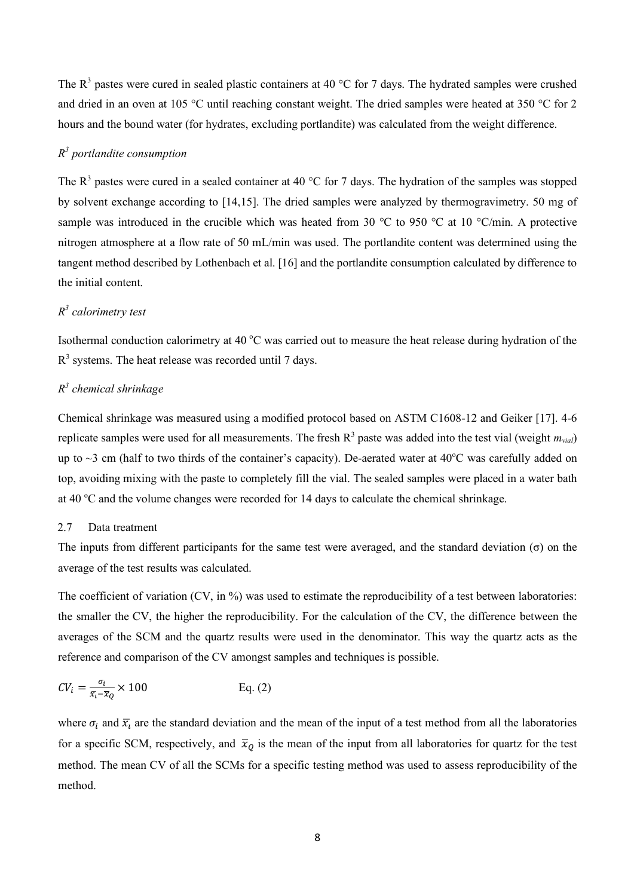The  $R<sup>3</sup>$  pastes were cured in sealed plastic containers at 40 °C for 7 days. The hydrated samples were crushed and dried in an oven at 105 °C until reaching constant weight. The dried samples were heated at 350 °C for 2 hours and the bound water (for hydrates, excluding portlandite) was calculated from the weight difference.

# *R 3 portlandite consumption*

The  $R<sup>3</sup>$  pastes were cured in a sealed container at 40 °C for 7 days. The hydration of the samples was stopped by solvent exchange according to [14,15]. The dried samples were analyzed by thermogravimetry. 50 mg of sample was introduced in the crucible which was heated from 30 °C to 950 °C at 10 °C/min. A protective nitrogen atmosphere at a flow rate of 50 mL/min was used. The portlandite content was determined using the tangent method described by Lothenbach et al. [16] and the portlandite consumption calculated by difference to the initial content.

## *R 3 calorimetry test*

Isothermal conduction calorimetry at 40  $^{\circ}$ C was carried out to measure the heat release during hydration of the  $R<sup>3</sup>$  systems. The heat release was recorded until 7 days.

## *R 3 chemical shrinkage*

Chemical shrinkage was measured using a modified protocol based on ASTM C1608-12 and Geiker [17]. 4-6 replicate samples were used for all measurements. The fresh R 3 paste was added into the test vial (weight *mvial*) up to  $\sim$ 3 cm (half to two thirds of the container's capacity). De-aerated water at 40 $\degree$ C was carefully added on top, avoiding mixing with the paste to completely fill the vial. The sealed samples were placed in a water bath at 40  $^{\circ}$ C and the volume changes were recorded for 14 days to calculate the chemical shrinkage.

#### 2.7 Data treatment

The inputs from different participants for the same test were averaged, and the standard deviation  $(σ)$  on the average of the test results was calculated.

The coefficient of variation (CV, in %) was used to estimate the reproducibility of a test between laboratories: the smaller the CV, the higher the reproducibility. For the calculation of the CV, the difference between the averages of the SCM and the quartz results were used in the denominator. This way the quartz acts as the reference and comparison of the CV amongst samples and techniques is possible.

$$
CV_i = \frac{\sigma_i}{\bar{x}_i - \bar{x}_Q} \times 100
$$
 Eq. (2)

where  $\sigma_i$  and  $\bar{x}_i$  are the standard deviation and the mean of the input of a test method from all the laboratories for a specific SCM, respectively, and  $\bar{x}_0$  is the mean of the input from all laboratories for quartz for the test method. The mean CV of all the SCMs for a specific testing method was used to assess reproducibility of the method.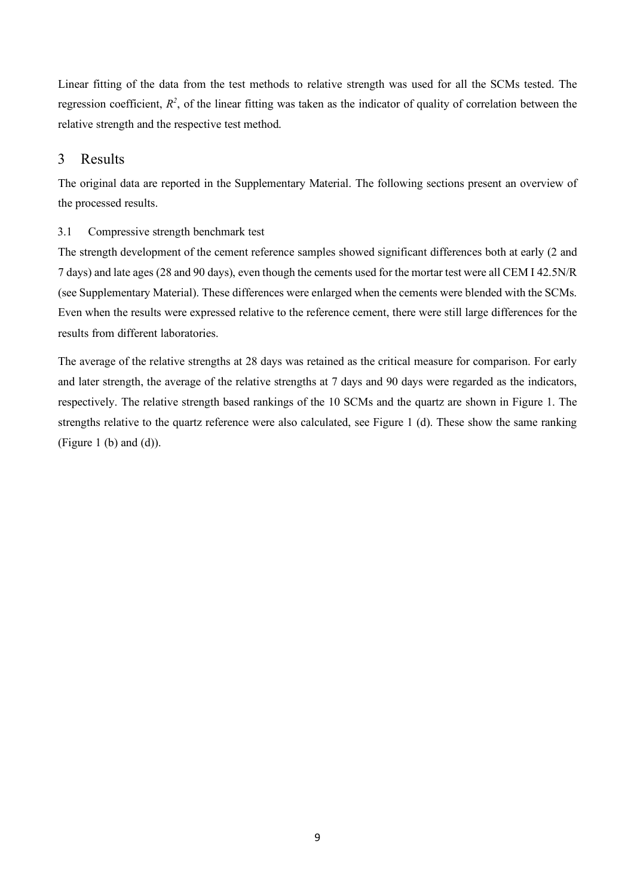Linear fitting of the data from the test methods to relative strength was used for all the SCMs tested. The regression coefficient,  $R^2$ , of the linear fitting was taken as the indicator of quality of correlation between the relative strength and the respective test method.

# 3 Results

The original data are reported in the Supplementary Material. The following sections present an overview of the processed results.

# 3.1 Compressive strength benchmark test

The strength development of the cement reference samples showed significant differences both at early (2 and 7 days) and late ages (28 and 90 days), even though the cements used for the mortar test were all CEM I 42.5N/R (see Supplementary Material). These differences were enlarged when the cements were blended with the SCMs. Even when the results were expressed relative to the reference cement, there were still large differences for the results from different laboratories.

The average of the relative strengths at 28 days was retained as the critical measure for comparison. For early and later strength, the average of the relative strengths at 7 days and 90 days were regarded as the indicators, respectively. The relative strength based rankings of the 10 SCMs and the quartz are shown in Figure 1. The strengths relative to the quartz reference were also calculated, see Figure 1 (d). These show the same ranking (Figure 1 (b) and  $(d)$ ).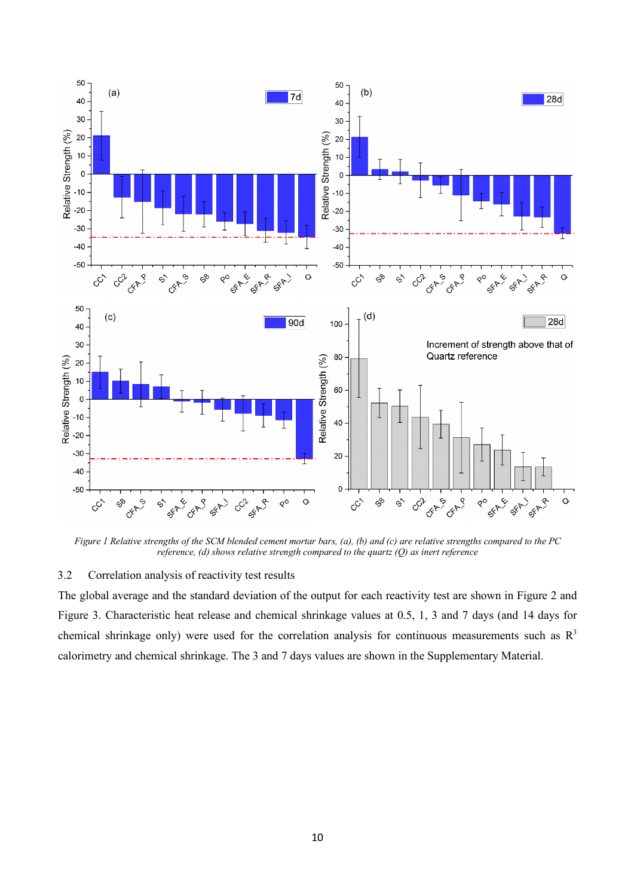

*Figure 1 Relative strengths of the SCM blended cement mortar bars, (a), (b) and (c) are relative strengths compared to the PC reference, (d) shows relative strength compared to the quartz (Q) as inert reference*

# 3.2 Correlation analysis of reactivity test results

The global average and the standard deviation of the output for each reactivity test are shown in Figure 2 and Figure 3. Characteristic heat release and chemical shrinkage values at 0.5, 1, 3 and 7 days (and 14 days for chemical shrinkage only) were used for the correlation analysis for continuous measurements such as  $R<sup>3</sup>$ calorimetry and chemical shrinkage. The 3 and 7 days values are shown in the Supplementary Material.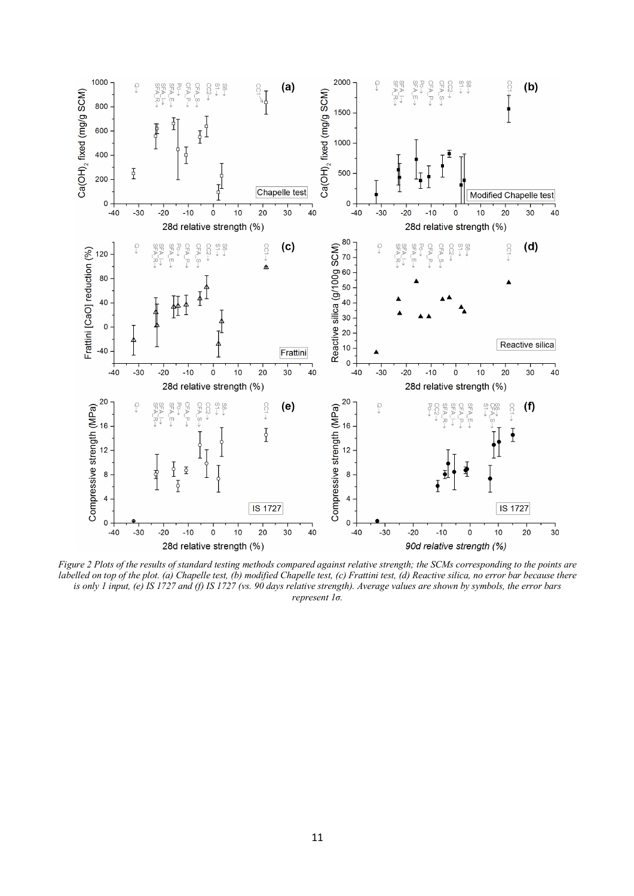

*Figure 2 Plots of the results of standard testing methods compared against relative strength; the SCMs corresponding to the points are labelled on top of the plot. (a) Chapelle test, (b) modified Chapelle test, (c) Frattini test, (d) Reactive silica, no error bar because there is only 1 input, (e) IS 1727 and (f) IS 1727 (vs. 90 days relative strength). Average values are shown by symbols, the error bars represent 1σ.*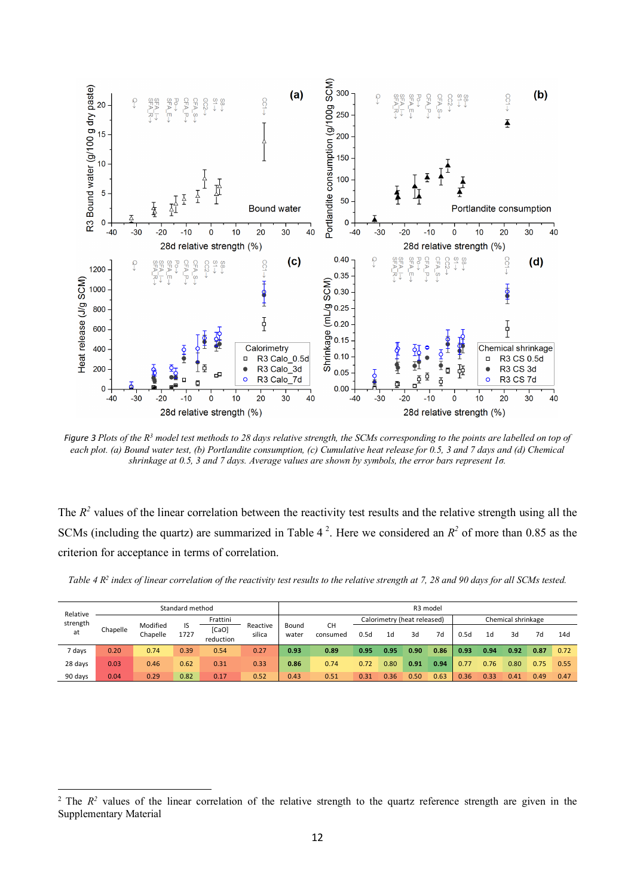

*Figure 3 Plots of the R<sup>3</sup> model test methods to 28 days relative strength, the SCMs corresponding to the points are labelled on top of each plot. (a) Bound water test, (b) Portlandite consumption, (c) Cumulative heat release for 0.5, 3 and 7 days and (d) Chemical shrinkage at 0.5, 3 and 7 days. Average values are shown by symbols, the error bars represent 1σ.*

The  $R<sup>2</sup>$  values of the linear correlation between the reactivity test results and the relative strength using all the SCMs (including the quartz) are summarized in Table  $4^2$ . Here we considered an  $R^2$  of more than 0.85 as the criterion for acceptance in terms of correlation.

|  |  |  |  |  | Table 4 $R2$ index of linear correlation of the reactivity test results to the relative strength at 7, 28 and 90 days for all SCMs tested. |
|--|--|--|--|--|--------------------------------------------------------------------------------------------------------------------------------------------|
|--|--|--|--|--|--------------------------------------------------------------------------------------------------------------------------------------------|

| Relative | Standard method |          |      |                    | R3 model |       |           |      |      |                             |      |      |                |                    |      |      |
|----------|-----------------|----------|------|--------------------|----------|-------|-----------|------|------|-----------------------------|------|------|----------------|--------------------|------|------|
| strength |                 | Modified | IS   | Frattini           | Reactive | Bound | <b>CH</b> |      |      | Calorimetry (heat released) |      |      |                | Chemical shrinkage |      |      |
| at       | Chapelle        | Chapelle | 1727 | [CaO]<br>reduction | silica   | water | consumed  | 0.5d | 1d   | 3d                          | 7d   | 0.5d | 1 <sub>d</sub> | 3d                 | 7d   | 14d  |
| 7 days   | 0.20            | 0.74     | 0.39 | 0.54               | 0.27     | 0.93  | 0.89      | 0.95 | 0.95 | 0.90                        | 0.86 | 0.93 | 0.94           | 0.92               | 0.87 | 0.72 |
| 28 days  | 0.03            | 0.46     | 0.62 | 0.31               | 0.33     | 0.86  | 0.74      | 0.72 | 0.80 | 0.91                        | 0.94 | 0.77 | 0.76           | 0.80               | 0.75 | 0.55 |
| 90 days  | 0.04            | 0.29     | 0.82 | 0.17               | 0.52     | 0.43  | 0.51      | 0.31 | 0.36 | 0.50                        | 0.63 | 0.36 | 0.33           | 0.41               | 0.49 | 0.47 |

l

 $2^2$  The  $R^2$  values of the linear correlation of the relative strength to the quartz reference strength are given in the Supplementary Material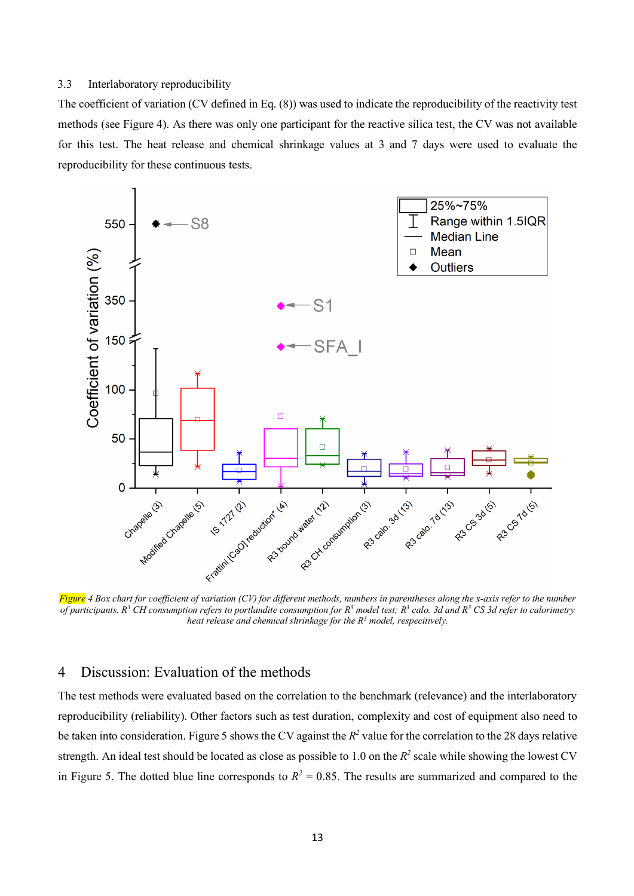#### 3.3 Interlaboratory reproducibility

The coefficient of variation (CV defined in Eq. (8)) was used to indicate the reproducibility of the reactivity test methods (see Figure 4). As there was only one participant for the reactive silica test, the CV was not available for this test. The heat release and chemical shrinkage values at 3 and 7 days were used to evaluate the reproducibility for these continuous tests.



*Figure 4 Box chart for coefficient of variation (CV) for different methods, numbers in parentheses along the x-axis refer to the number of participants. R<sup>3</sup> CH consumption refers to portlandite consumption for R<sup>3</sup> model test; R<sup>3</sup> calo. 3d and R<sup>3</sup> CS 3d refer to calorimetry heat release and chemical shrinkage for the R<sup>3</sup> model, respecitively.* 

# 4 Discussion: Evaluation of the methods

The test methods were evaluated based on the correlation to the benchmark (relevance) and the interlaboratory reproducibility (reliability). Other factors such as test duration, complexity and cost of equipment also need to be taken into consideration. Figure 5 shows the CV against the  $R^2$  value for the correlation to the 28 days relative strength. An ideal test should be located as close as possible to 1.0 on the  $R^2$  scale while showing the lowest CV in Figure 5. The dotted blue line corresponds to  $R^2 = 0.85$ . The results are summarized and compared to the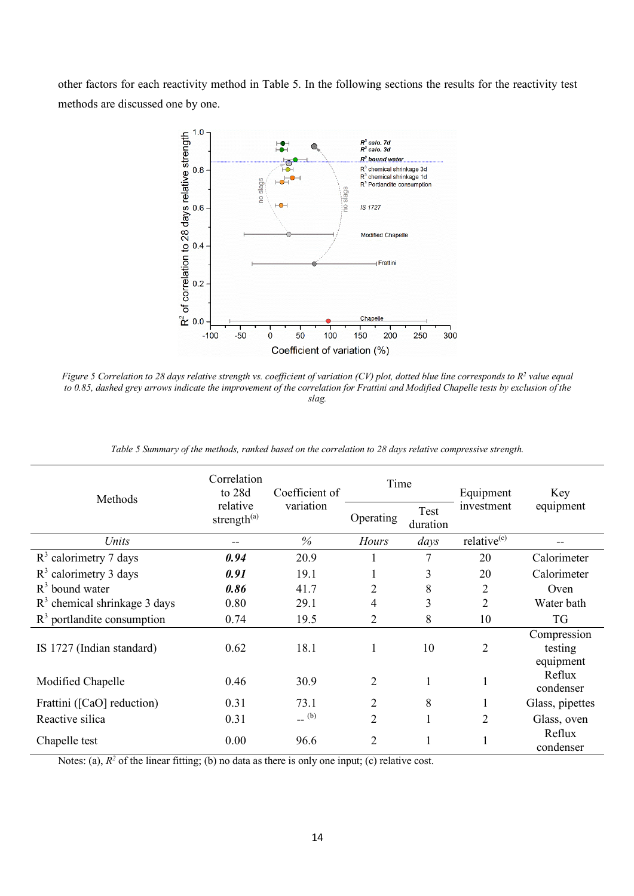other factors for each reactivity method in Table 5. In the following sections the results for the reactivity test methods are discussed one by one.



*Figure 5 Correlation to 28 days relative strength vs. coefficient of variation (CV) plot, dotted blue line corresponds to R<sup>2</sup> value equal to 0.85, dashed grey arrows indicate the improvement of the correlation for Frattini and Modified Chapelle tests by exclusion of the slag.*

| <b>Methods</b>                 | Correlation<br>to 28d               | Coefficient of     | Time           |                  | Equipment               | Key                                 |  |
|--------------------------------|-------------------------------------|--------------------|----------------|------------------|-------------------------|-------------------------------------|--|
|                                | relative<br>strength <sup>(a)</sup> | variation          | Operating      | Test<br>duration | investment              | equipment                           |  |
| Units                          |                                     | $\%$               | <b>Hours</b>   | days             | relative <sup>(c)</sup> |                                     |  |
| $R3$ calorimetry 7 days        | 0.94                                | 20.9               |                | 7                | 20                      | Calorimeter                         |  |
| $R3$ calorimetry 3 days        | 0.91                                | 19.1               | 1              | 3                | 20                      | Calorimeter                         |  |
| $R3$ bound water               | 0.86                                | 41.7               | $\overline{2}$ | 8                | 2                       | Oven                                |  |
| $R3$ chemical shrinkage 3 days | 0.80                                | 29.1               | 4              | 3                | $\overline{2}$          | Water bath                          |  |
| $R3$ portlandite consumption   | 0.74                                | 19.5               | 2              | 8                | 10                      | <b>TG</b>                           |  |
| IS 1727 (Indian standard)      | 0.62                                | 18.1               | 1              | 10               | $\overline{2}$          | Compression<br>testing<br>equipment |  |
| Modified Chapelle              | 0.46                                | 30.9               | $\overline{2}$ |                  |                         | Reflux<br>condenser                 |  |
| Frattini ([CaO] reduction)     | 0.31                                | 73.1               | $\overline{2}$ | 8                |                         | Glass, pipettes                     |  |
| Reactive silica                | 0.31                                | $\overline{a}$ (b) | $\overline{2}$ |                  | $\overline{2}$          | Glass, oven                         |  |
| Chapelle test                  | 0.00                                | 96.6               | $\overline{2}$ |                  | 1                       | Reflux<br>condenser                 |  |

*Table 5 Summary of the methods, ranked based on the correlation to 28 days relative compressive strength.*

Notes: (a),  $R^2$  of the linear fitting; (b) no data as there is only one input; (c) relative cost.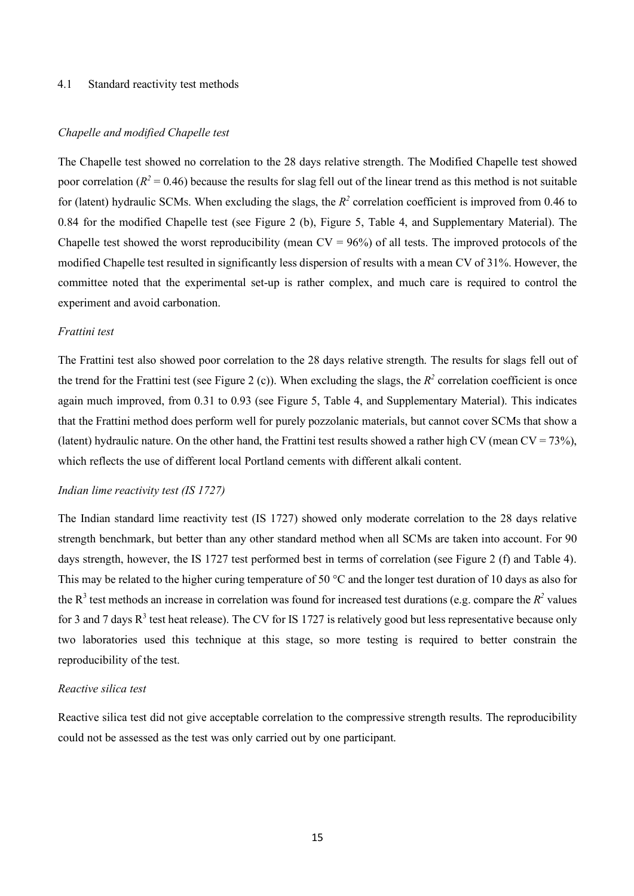#### 4.1 Standard reactivity test methods

#### *Chapelle and modified Chapelle test*

The Chapelle test showed no correlation to the 28 days relative strength. The Modified Chapelle test showed poor correlation ( $R^2$  = 0.46) because the results for slag fell out of the linear trend as this method is not suitable for (latent) hydraulic SCMs. When excluding the slags, the  $R^2$  correlation coefficient is improved from 0.46 to 0.84 for the modified Chapelle test (see Figure 2 (b), Figure 5, Table 4, and Supplementary Material). The Chapelle test showed the worst reproducibility (mean  $CV = 96\%$ ) of all tests. The improved protocols of the modified Chapelle test resulted in significantly less dispersion of results with a mean CV of 31%. However, the committee noted that the experimental set-up is rather complex, and much care is required to control the experiment and avoid carbonation.

### *Frattini test*

The Frattini test also showed poor correlation to the 28 days relative strength. The results for slags fell out of the trend for the Frattini test (see Figure 2 (c)). When excluding the slags, the  $R^2$  correlation coefficient is once again much improved, from 0.31 to 0.93 (see Figure 5, Table 4, and Supplementary Material). This indicates that the Frattini method does perform well for purely pozzolanic materials, but cannot cover SCMs that show a (latent) hydraulic nature. On the other hand, the Frattini test results showed a rather high CV (mean CV = 73%), which reflects the use of different local Portland cements with different alkali content.

#### *Indian lime reactivity test (IS 1727)*

The Indian standard lime reactivity test (IS 1727) showed only moderate correlation to the 28 days relative strength benchmark, but better than any other standard method when all SCMs are taken into account. For 90 days strength, however, the IS 1727 test performed best in terms of correlation (see Figure 2 (f) and Table 4). This may be related to the higher curing temperature of 50 °C and the longer test duration of 10 days as also for the  $R^3$  test methods an increase in correlation was found for increased test durations (e.g. compare the  $R^2$  values for 3 and 7 days  $R^3$  test heat release). The CV for IS 1727 is relatively good but less representative because only two laboratories used this technique at this stage, so more testing is required to better constrain the reproducibility of the test.

### *Reactive silica test*

Reactive silica test did not give acceptable correlation to the compressive strength results. The reproducibility could not be assessed as the test was only carried out by one participant.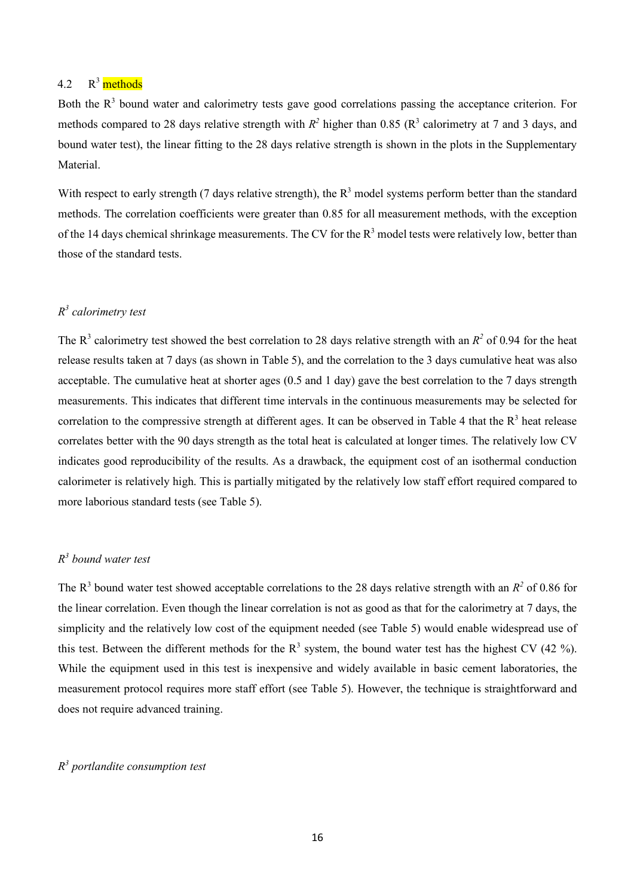#### 4.2 R <sup>3</sup> methods

Both the  $R<sup>3</sup>$  bound water and calorimetry tests gave good correlations passing the acceptance criterion. For methods compared to 28 days relative strength with  $R^2$  higher than 0.85 ( $R^3$  calorimetry at 7 and 3 days, and bound water test), the linear fitting to the 28 days relative strength is shown in the plots in the Supplementary **Material** 

With respect to early strength (7 days relative strength), the  $R<sup>3</sup>$  model systems perform better than the standard methods. The correlation coefficients were greater than 0.85 for all measurement methods, with the exception of the 14 days chemical shrinkage measurements. The CV for the  $R<sup>3</sup>$  model tests were relatively low, better than those of the standard tests.

## *R 3 calorimetry test*

The  $R^3$  calorimetry test showed the best correlation to 28 days relative strength with an  $R^2$  of 0.94 for the heat release results taken at 7 days (as shown in Table 5), and the correlation to the 3 days cumulative heat was also acceptable. The cumulative heat at shorter ages (0.5 and 1 day) gave the best correlation to the 7 days strength measurements. This indicates that different time intervals in the continuous measurements may be selected for correlation to the compressive strength at different ages. It can be observed in Table 4 that the  $R<sup>3</sup>$  heat release correlates better with the 90 days strength as the total heat is calculated at longer times. The relatively low CV indicates good reproducibility of the results. As a drawback, the equipment cost of an isothermal conduction calorimeter is relatively high. This is partially mitigated by the relatively low staff effort required compared to more laborious standard tests (see Table 5).

## *R 3 bound water test*

The  $R^3$  bound water test showed acceptable correlations to the 28 days relative strength with an  $R^2$  of 0.86 for the linear correlation. Even though the linear correlation is not as good as that for the calorimetry at 7 days, the simplicity and the relatively low cost of the equipment needed (see Table 5) would enable widespread use of this test. Between the different methods for the  $R<sup>3</sup>$  system, the bound water test has the highest CV (42 %). While the equipment used in this test is inexpensive and widely available in basic cement laboratories, the measurement protocol requires more staff effort (see Table 5). However, the technique is straightforward and does not require advanced training.

# *R 3 portlandite consumption test*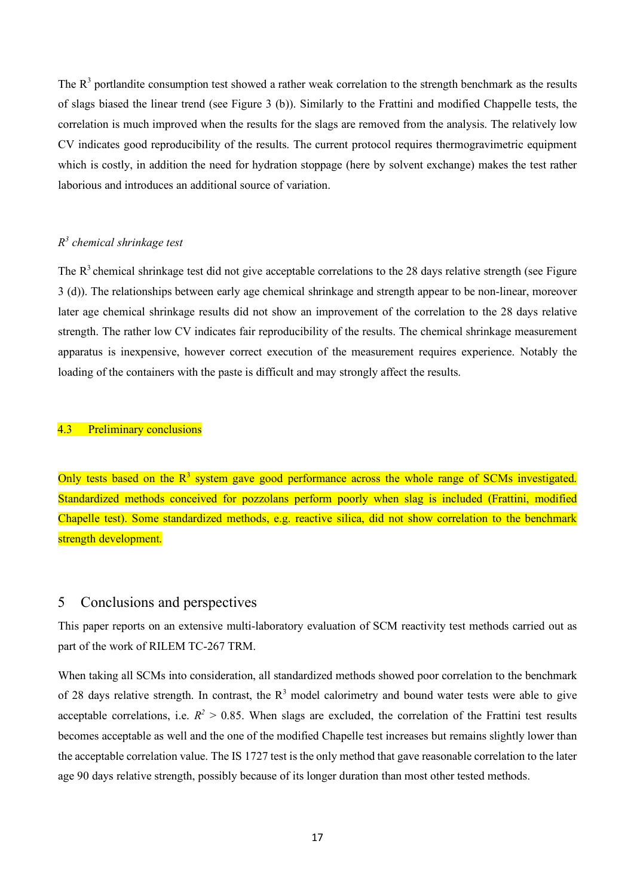The  $R<sup>3</sup>$  portlandite consumption test showed a rather weak correlation to the strength benchmark as the results of slags biased the linear trend (see Figure 3 (b)). Similarly to the Frattini and modified Chappelle tests, the correlation is much improved when the results for the slags are removed from the analysis. The relatively low CV indicates good reproducibility of the results. The current protocol requires thermogravimetric equipment which is costly, in addition the need for hydration stoppage (here by solvent exchange) makes the test rather laborious and introduces an additional source of variation.

# *R 3 chemical shrinkage test*

The  $R<sup>3</sup>$  chemical shrinkage test did not give acceptable correlations to the 28 days relative strength (see Figure 3 (d)). The relationships between early age chemical shrinkage and strength appear to be non-linear, moreover later age chemical shrinkage results did not show an improvement of the correlation to the 28 days relative strength. The rather low CV indicates fair reproducibility of the results. The chemical shrinkage measurement apparatus is inexpensive, however correct execution of the measurement requires experience. Notably the loading of the containers with the paste is difficult and may strongly affect the results.

### 4.3 Preliminary conclusions

Only tests based on the  $R<sup>3</sup>$  system gave good performance across the whole range of SCMs investigated. Standardized methods conceived for pozzolans perform poorly when slag is included (Frattini, modified Chapelle test). Some standardized methods, e.g. reactive silica, did not show correlation to the benchmark strength development.

# 5 Conclusions and perspectives

This paper reports on an extensive multi-laboratory evaluation of SCM reactivity test methods carried out as part of the work of RILEM TC-267 TRM.

When taking all SCMs into consideration, all standardized methods showed poor correlation to the benchmark of 28 days relative strength. In contrast, the  $R<sup>3</sup>$  model calorimetry and bound water tests were able to give acceptable correlations, i.e.  $R^2 > 0.85$ . When slags are excluded, the correlation of the Frattini test results becomes acceptable as well and the one of the modified Chapelle test increases but remains slightly lower than the acceptable correlation value. The IS 1727 test is the only method that gave reasonable correlation to the later age 90 days relative strength, possibly because of its longer duration than most other tested methods.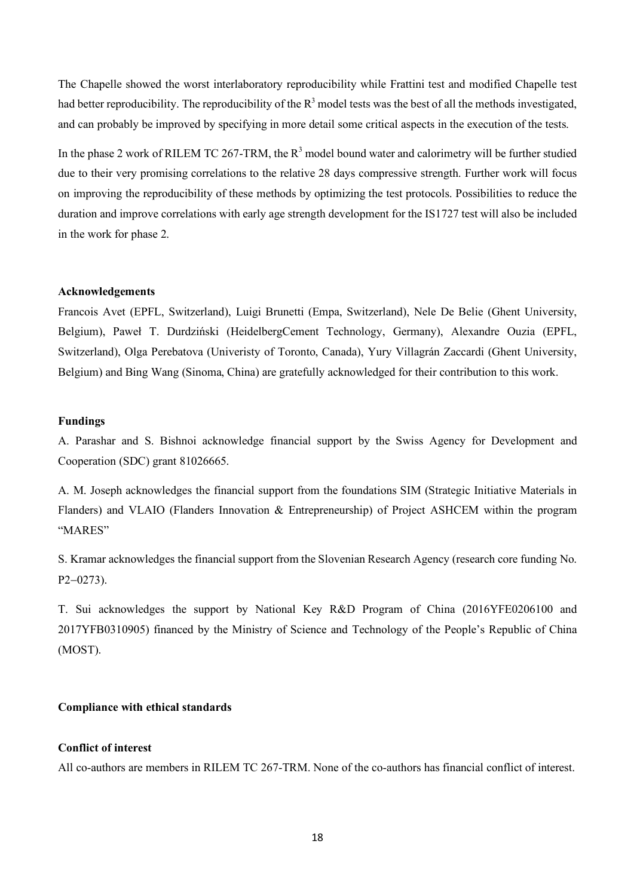The Chapelle showed the worst interlaboratory reproducibility while Frattini test and modified Chapelle test had better reproducibility. The reproducibility of the  $R<sup>3</sup>$  model tests was the best of all the methods investigated, and can probably be improved by specifying in more detail some critical aspects in the execution of the tests.

In the phase 2 work of RILEM TC 267-TRM, the  $R<sup>3</sup>$  model bound water and calorimetry will be further studied due to their very promising correlations to the relative 28 days compressive strength. Further work will focus on improving the reproducibility of these methods by optimizing the test protocols. Possibilities to reduce the duration and improve correlations with early age strength development for the IS1727 test will also be included in the work for phase 2.

### **Acknowledgements**

Francois Avet (EPFL, Switzerland), Luigi Brunetti (Empa, Switzerland), Nele De Belie (Ghent University, Belgium), Paweł T. Durdziński (HeidelbergCement Technology, Germany), Alexandre Ouzia (EPFL, Switzerland), Olga Perebatova (Univeristy of Toronto, Canada), Yury Villagrán Zaccardi (Ghent University, Belgium) and Bing Wang (Sinoma, China) are gratefully acknowledged for their contribution to this work.

### **Fundings**

A. Parashar and S. Bishnoi acknowledge financial support by the Swiss Agency for Development and Cooperation (SDC) grant 81026665.

A. M. Joseph acknowledges the financial support from the foundations SIM (Strategic Initiative Materials in Flanders) and VLAIO (Flanders Innovation & Entrepreneurship) of Project ASHCEM within the program "MARES"

S. Kramar acknowledges the financial support from the Slovenian Research Agency (research core funding No. P2-0273).

T. Sui acknowledges the support by National Key R&D Program of China (2016YFE0206100 and 2017YFB0310905) financed by the Ministry of Science and Technology of the People's Republic of China (MOST).

# **Compliance with ethical standards**

#### **Conflict of interest**

All co-authors are members in RILEM TC 267-TRM. None of the co-authors has financial conflict of interest.